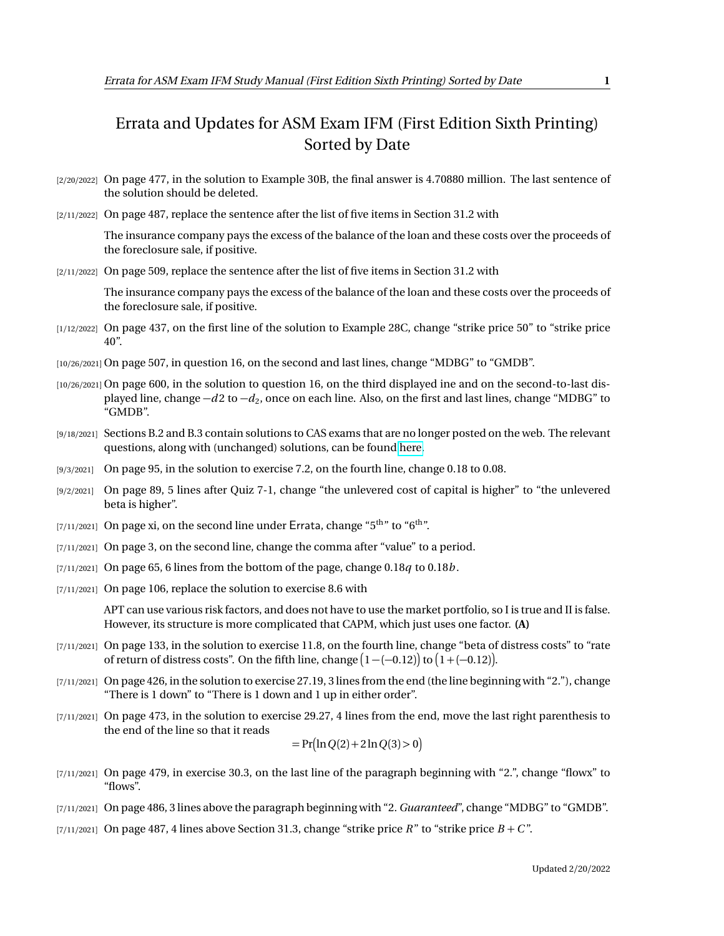## Errata and Updates for ASM Exam IFM (First Edition Sixth Printing) Sorted by Date

- [2/20/2022] On page 477, in the solution to Example 30B, the final answer is 4.70880 million. The last sentence of the solution should be deleted.
- [2/11/2022] On page 487, replace the sentence after the list of five items in Section 31.2 with

The insurance company pays the excess of the balance of the loan and these costs over the proceeds of the foreclosure sale, if positive.

[2/11/2022] On page 509, replace the sentence after the list of five items in Section 31.2 with

The insurance company pays the excess of the balance of the loan and these costs over the proceeds of the foreclosure sale, if positive.

- [1/12/2022] On page 437, on the first line of the solution to Example 28C, change "strike price 50" to "strike price 40".
- [10/26/2021] On page 507, in question 16, on the second and last lines, change "MDBG" to "GMDB".
- [10/26/2021] On page 600, in the solution to question 16, on the third displayed ine and on the second-to-last displayed line, change  $-d2$  to  $-d_2$ , once on each line. Also, on the first and last lines, change "MDBG" to "GMDB".
- [9/18/2021] Sections B.2 and B.3 contain solutions to CAS exams that are no longer posted on the web. The relevant questions, along with (unchanged) solutions, can be found [here.](http://aceyourexams.net/errata/CASExam3forIFM.pdf)
- [9/3/2021] On page 95, in the solution to exercise 7.2, on the fourth line, change 0.18 to 0.08.
- [9/2/2021] On page 89, 5 lines after Quiz 7-1, change "the unlevered cost of capital is higher" to "the unlevered beta is higher".
- [7/11/2021] On page xi, on the second line under Errata, change " $5<sup>th</sup>$ " to " $6<sup>th</sup>$ ".
- [7/11/2021] On page 3, on the second line, change the comma after "value" to a period.
- $[7/11/2021]$  On page 65, 6 lines from the bottom of the page, change 0.18*q* to 0.18*b*.
- [7/11/2021] On page 106, replace the solution to exercise 8.6 with

APT can use various risk factors, and does not have to use the market portfolio, so I is true and II is false. However, its structure is more complicated that CAPM, which just uses one factor. **(A)**

- [7/11/2021] On page 133, in the solution to exercise 11.8, on the fourth line, change "beta of distress costs" to "rate of return of distress costs". On the fifth line, change  $(1 - (-0.12))$  to  $(1 + (-0.12))$ .
- [7/11/2021] On page 426, in the solution to exercise 27.19, 3 lines from the end (the line beginning with "2."), change "There is 1 down" to "There is 1 down and 1 up in either order".
- [7/11/2021] On page 473, in the solution to exercise 29.27, 4 lines from the end, move the last right parenthesis to the end of the line so that it reads

$$
= Pr(ln Q(2) + 2 ln Q(3) > 0)
$$

- [7/11/2021] On page 479, in exercise 30.3, on the last line of the paragraph beginning with "2.", change "flowx" to "flows".
- [7/11/2021] On page 486, 3 lines above the paragraph beginning with "2. *Guaranteed*", change "MDBG" to "GMDB".
- $(7/11/2021)$  On page 487, 4 lines above Section 31.3, change "strike price *R*" to "strike price  $B + C$ ".